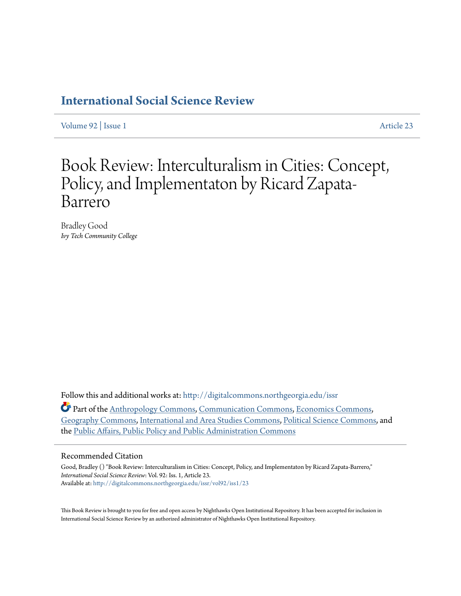## **[International Social Science Review](http://digitalcommons.northgeorgia.edu/issr?utm_source=digitalcommons.northgeorgia.edu%2Fissr%2Fvol92%2Fiss1%2F23&utm_medium=PDF&utm_campaign=PDFCoverPages)**

[Volume 92](http://digitalcommons.northgeorgia.edu/issr/vol92?utm_source=digitalcommons.northgeorgia.edu%2Fissr%2Fvol92%2Fiss1%2F23&utm_medium=PDF&utm_campaign=PDFCoverPages) | [Issue 1](http://digitalcommons.northgeorgia.edu/issr/vol92/iss1?utm_source=digitalcommons.northgeorgia.edu%2Fissr%2Fvol92%2Fiss1%2F23&utm_medium=PDF&utm_campaign=PDFCoverPages) [Article 23](http://digitalcommons.northgeorgia.edu/issr/vol92/iss1/23?utm_source=digitalcommons.northgeorgia.edu%2Fissr%2Fvol92%2Fiss1%2F23&utm_medium=PDF&utm_campaign=PDFCoverPages)

## Book Review: Interculturalism in Cities: Concept, Policy, and Implementaton by Ricard Zapata-Barrero

Bradley Good *Ivy Tech Community College*

Follow this and additional works at: [http://digitalcommons.northgeorgia.edu/issr](http://digitalcommons.northgeorgia.edu/issr?utm_source=digitalcommons.northgeorgia.edu%2Fissr%2Fvol92%2Fiss1%2F23&utm_medium=PDF&utm_campaign=PDFCoverPages)

Part of the [Anthropology Commons](http://network.bepress.com/hgg/discipline/318?utm_source=digitalcommons.northgeorgia.edu%2Fissr%2Fvol92%2Fiss1%2F23&utm_medium=PDF&utm_campaign=PDFCoverPages), [Communication Commons,](http://network.bepress.com/hgg/discipline/325?utm_source=digitalcommons.northgeorgia.edu%2Fissr%2Fvol92%2Fiss1%2F23&utm_medium=PDF&utm_campaign=PDFCoverPages) [Economics Commons,](http://network.bepress.com/hgg/discipline/340?utm_source=digitalcommons.northgeorgia.edu%2Fissr%2Fvol92%2Fiss1%2F23&utm_medium=PDF&utm_campaign=PDFCoverPages) [Geography Commons](http://network.bepress.com/hgg/discipline/354?utm_source=digitalcommons.northgeorgia.edu%2Fissr%2Fvol92%2Fiss1%2F23&utm_medium=PDF&utm_campaign=PDFCoverPages), [International and Area Studies Commons,](http://network.bepress.com/hgg/discipline/360?utm_source=digitalcommons.northgeorgia.edu%2Fissr%2Fvol92%2Fiss1%2F23&utm_medium=PDF&utm_campaign=PDFCoverPages) [Political Science Commons,](http://network.bepress.com/hgg/discipline/386?utm_source=digitalcommons.northgeorgia.edu%2Fissr%2Fvol92%2Fiss1%2F23&utm_medium=PDF&utm_campaign=PDFCoverPages) and the [Public Affairs, Public Policy and Public Administration Commons](http://network.bepress.com/hgg/discipline/393?utm_source=digitalcommons.northgeorgia.edu%2Fissr%2Fvol92%2Fiss1%2F23&utm_medium=PDF&utm_campaign=PDFCoverPages)

## Recommended Citation

Good, Bradley () "Book Review: Interculturalism in Cities: Concept, Policy, and Implementaton by Ricard Zapata-Barrero," *International Social Science Review*: Vol. 92: Iss. 1, Article 23. Available at: [http://digitalcommons.northgeorgia.edu/issr/vol92/iss1/23](http://digitalcommons.northgeorgia.edu/issr/vol92/iss1/23?utm_source=digitalcommons.northgeorgia.edu%2Fissr%2Fvol92%2Fiss1%2F23&utm_medium=PDF&utm_campaign=PDFCoverPages)

This Book Review is brought to you for free and open access by Nighthawks Open Institutional Repository. It has been accepted for inclusion in International Social Science Review by an authorized administrator of Nighthawks Open Institutional Repository.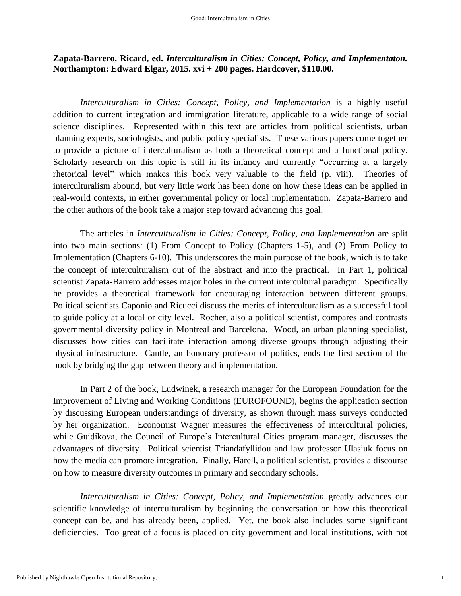## **Zapata-Barrero, Ricard, ed.** *Interculturalism in Cities: Concept, Policy, and Implementaton.* **Northampton: Edward Elgar, 2015. xvi + 200 pages. Hardcover, \$110.00.**

*Interculturalism in Cities: Concept, Policy, and Implementation* is a highly useful addition to current integration and immigration literature, applicable to a wide range of social science disciplines. Represented within this text are articles from political scientists, urban planning experts, sociologists, and public policy specialists. These various papers come together to provide a picture of interculturalism as both a theoretical concept and a functional policy. Scholarly research on this topic is still in its infancy and currently "occurring at a largely rhetorical level" which makes this book very valuable to the field (p. viii). Theories of interculturalism abound, but very little work has been done on how these ideas can be applied in real-world contexts, in either governmental policy or local implementation. Zapata-Barrero and the other authors of the book take a major step toward advancing this goal.

The articles in *Interculturalism in Cities: Concept, Policy, and Implementation* are split into two main sections: (1) From Concept to Policy (Chapters 1-5), and (2) From Policy to Implementation (Chapters 6-10). This underscores the main purpose of the book, which is to take the concept of interculturalism out of the abstract and into the practical. In Part 1, political scientist Zapata-Barrero addresses major holes in the current intercultural paradigm. Specifically he provides a theoretical framework for encouraging interaction between different groups. Political scientists Caponio and Ricucci discuss the merits of interculturalism as a successful tool to guide policy at a local or city level. Rocher, also a political scientist, compares and contrasts governmental diversity policy in Montreal and Barcelona. Wood, an urban planning specialist, discusses how cities can facilitate interaction among diverse groups through adjusting their physical infrastructure. Cantle, an honorary professor of politics, ends the first section of the book by bridging the gap between theory and implementation.

In Part 2 of the book, Ludwinek, a research manager for the European Foundation for the Improvement of Living and Working Conditions (EUROFOUND), begins the application section by discussing European understandings of diversity, as shown through mass surveys conducted by her organization. Economist Wagner measures the effectiveness of intercultural policies, while Guidikova, the Council of Europe's Intercultural Cities program manager, discusses the advantages of diversity. Political scientist Triandafyllidou and law professor Ulasiuk focus on how the media can promote integration. Finally, Harell, a political scientist, provides a discourse on how to measure diversity outcomes in primary and secondary schools.

*Interculturalism in Cities: Concept, Policy, and Implementation* greatly advances our scientific knowledge of interculturalism by beginning the conversation on how this theoretical concept can be, and has already been, applied. Yet, the book also includes some significant deficiencies. Too great of a focus is placed on city government and local institutions, with not